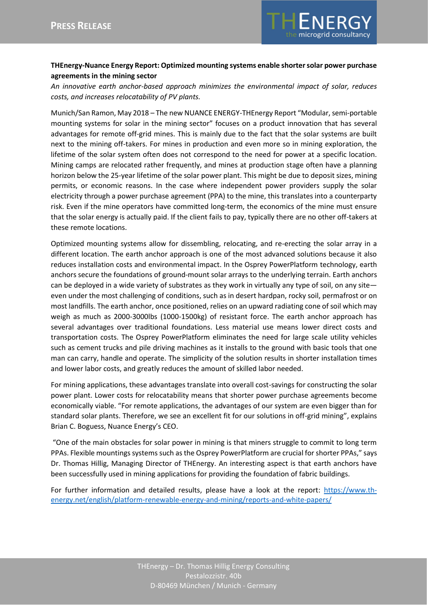

## **THEnergy-Nuance Energy Report: Optimized mounting systems enable shorter solar power purchase agreements in the mining sector**

*An innovative earth anchor-based approach minimizes the environmental impact of solar, reduces costs, and increases relocatability of PV plants.*

Munich/San Ramon, May 2018 – The new NUANCE ENERGY-THEnergy Report "Modular, semi-portable mounting systems for solar in the mining sector" focuses on a product innovation that has several advantages for remote off-grid mines. This is mainly due to the fact that the solar systems are built next to the mining off-takers. For mines in production and even more so in mining exploration, the lifetime of the solar system often does not correspond to the need for power at a specific location. Mining camps are relocated rather frequently, and mines at production stage often have a planning horizon below the 25-year lifetime of the solar power plant. This might be due to deposit sizes, mining permits, or economic reasons. In the case where independent power providers supply the solar electricity through a power purchase agreement (PPA) to the mine, this translates into a counterparty risk. Even if the mine operators have committed long-term, the economics of the mine must ensure that the solar energy is actually paid. If the client fails to pay, typically there are no other off-takers at these remote locations.

Optimized mounting systems allow for dissembling, relocating, and re-erecting the solar array in a different location. The earth anchor approach is one of the most advanced solutions because it also reduces installation costs and environmental impact. In the Osprey PowerPlatform technology, earth anchors secure the foundations of ground-mount solar arrays to the underlying terrain. Earth anchors can be deployed in a wide variety of substrates as they work in virtually any type of soil, on any site even under the most challenging of conditions, such as in desert hardpan, rocky soil, permafrost or on most landfills. The earth anchor, once positioned, relies on an upward radiating cone of soil which may weigh as much as 2000-3000lbs (1000-1500kg) of resistant force. The earth anchor approach has several advantages over traditional foundations. Less material use means lower direct costs and transportation costs. The Osprey PowerPlatform eliminates the need for large scale utility vehicles such as cement trucks and pile driving machines as it installs to the ground with basic tools that one man can carry, handle and operate. The simplicity of the solution results in shorter installation times and lower labor costs, and greatly reduces the amount of skilled labor needed.

For mining applications, these advantages translate into overall cost-savings for constructing the solar power plant. Lower costs for relocatability means that shorter power purchase agreements become economically viable. "For remote applications, the advantages of our system are even bigger than for standard solar plants. Therefore, we see an excellent fit for our solutions in off-grid mining", explains Brian C. Boguess, Nuance Energy's CEO.

"One of the main obstacles for solar power in mining is that miners struggle to commit to long term PPAs. Flexible mountings systems such as the Osprey PowerPlatform are crucial for shorter PPAs," says Dr. Thomas Hillig, Managing Director of THEnergy. An interesting aspect is that earth anchors have been successfully used in mining applications for providing the foundation of fabric buildings.

For further information and detailed results, please have a look at the report: [https://www.th](https://www.th-energy.net/english/platform-renewable-energy-and-mining/reports-and-white-papers/)[energy.net/english/platform-renewable-energy-and-mining/reports-and-white-papers/](https://www.th-energy.net/english/platform-renewable-energy-and-mining/reports-and-white-papers/)